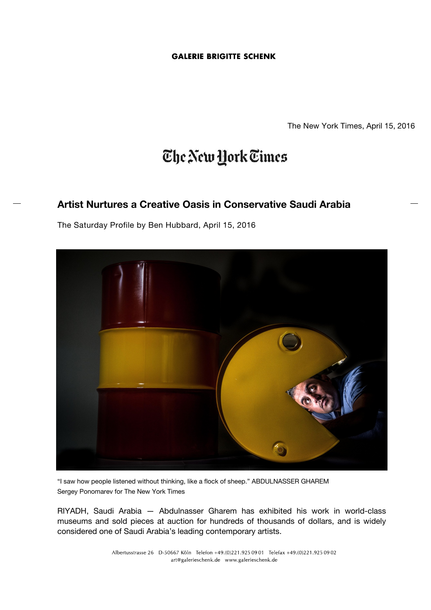The New York Times, April 15, 2016

# The New York Times

## **Artist Nurtures a Creative Oasis in Conservative Saudi Arabia**

The Saturday Profile by Ben Hubbard, April 15, 2016



"I saw how people listened without thinking, like a flock of sheep." ABDULNASSER GHAREM Sergey Ponomarev for The New York Times

RIYADH, Saudi Arabia — Abdulnasser Gharem has exhibited his work in world-class museums and sold pieces at auction for hundreds of thousands of dollars, and is widely considered one of Saudi Arabia's leading contemporary artists.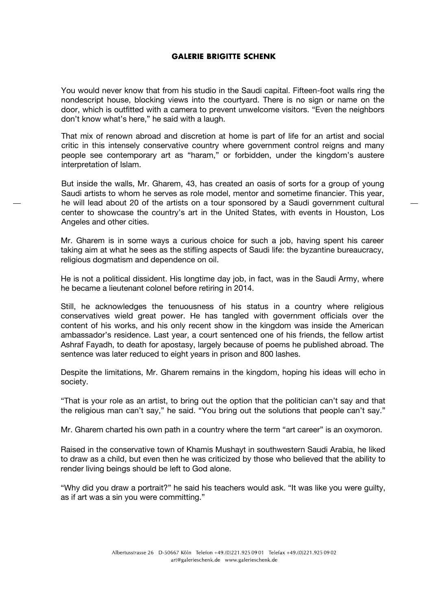You would never know that from his studio in the Saudi capital. Fifteen-foot walls ring the nondescript house, blocking views into the courtyard. There is no sign or name on the door, which is outfitted with a camera to prevent unwelcome visitors. "Even the neighbors don't know what's here," he said with a laugh.

That mix of renown abroad and discretion at home is part of life for an artist and social critic in this intensely conservative country where government control reigns and many people see contemporary art as "haram," or forbidden, under the kingdom's austere interpretation of Islam.

But inside the walls, Mr. Gharem, 43, has created an oasis of sorts for a group of young Saudi artists to whom he serves as role model, mentor and sometime financier. This year, he will lead about 20 of the artists on a tour sponsored by a Saudi government cultural center to showcase the country's art in the United States, with events in Houston, Los Angeles and other cities.

Mr. Gharem is in some ways a curious choice for such a job, having spent his career taking aim at what he sees as the stifling aspects of Saudi life: the byzantine bureaucracy, religious dogmatism and dependence on oil.

He is not a political dissident. His longtime day job, in fact, was in the Saudi Army, where he became a lieutenant colonel before retiring in 2014.

Still, he acknowledges the tenuousness of his status in a country where religious conservatives wield great power. He has tangled with government officials over the content of his works, and his only recent show in the kingdom was inside the American ambassador's residence. Last year, a court sentenced one of his friends, the fellow artist Ashraf Fayadh, to death for apostasy, largely because of poems he published abroad. The sentence was later reduced to eight years in prison and 800 lashes.

Despite the limitations, Mr. Gharem remains in the kingdom, hoping his ideas will echo in society.

"That is your role as an artist, to bring out the option that the politician can't say and that the religious man can't say," he said. "You bring out the solutions that people can't say."

Mr. Gharem charted his own path in a country where the term "art career" is an oxymoron.

Raised in the conservative town of Khamis Mushayt in southwestern Saudi Arabia, he liked to draw as a child, but even then he was criticized by those who believed that the ability to render living beings should be left to God alone.

"Why did you draw a portrait?" he said his teachers would ask. "It was like you were guilty, as if art was a sin you were committing."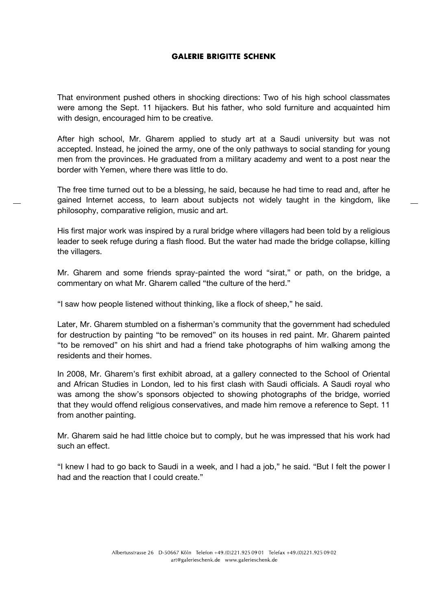That environment pushed others in shocking directions: Two of his high school classmates were among the Sept. 11 hijackers. But his father, who sold furniture and acquainted him with design, encouraged him to be creative.

After high school, Mr. Gharem applied to study art at a Saudi university but was not accepted. Instead, he joined the army, one of the only pathways to social standing for young men from the provinces. He graduated from a military academy and went to a post near the border with Yemen, where there was little to do.

The free time turned out to be a blessing, he said, because he had time to read and, after he gained Internet access, to learn about subjects not widely taught in the kingdom, like philosophy, comparative religion, music and art.

His first major work was inspired by a rural bridge where villagers had been told by a religious leader to seek refuge during a flash flood. But the water had made the bridge collapse, killing the villagers.

Mr. Gharem and some friends spray-painted the word "sirat," or path, on the bridge, a commentary on what Mr. Gharem called "the culture of the herd."

"I saw how people listened without thinking, like a flock of sheep," he said.

Later, Mr. Gharem stumbled on a fisherman's community that the government had scheduled for destruction by painting "to be removed" on its houses in red paint. Mr. Gharem painted "to be removed" on his shirt and had a friend take photographs of him walking among the residents and their homes.

In 2008, Mr. Gharem's first exhibit abroad, at a gallery connected to the School of Oriental and African Studies in London, led to his first clash with Saudi officials. A Saudi royal who was among the show's sponsors objected to showing photographs of the bridge, worried that they would offend religious conservatives, and made him remove a reference to Sept. 11 from another painting.

Mr. Gharem said he had little choice but to comply, but he was impressed that his work had such an effect.

"I knew I had to go back to Saudi in a week, and I had a job," he said. "But I felt the power I had and the reaction that I could create."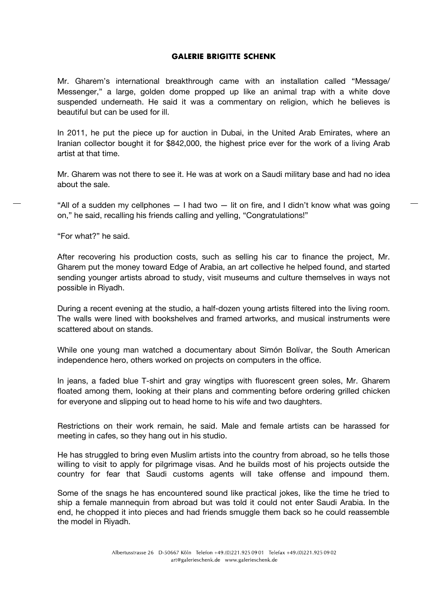Mr. Gharem's international breakthrough came with an installation called "Message/ Messenger," a large, golden dome propped up like an animal trap with a white dove suspended underneath. He said it was a commentary on religion, which he believes is beautiful but can be used for ill.

In 2011, he put the piece up for auction in Dubai, in the United Arab Emirates, where an Iranian collector bought it for \$842,000, the highest price ever for the work of a living Arab artist at that time.

Mr. Gharem was not there to see it. He was at work on a Saudi military base and had no idea about the sale.

"All of a sudden my cellphones  $-1$  had two  $-$  lit on fire, and I didn't know what was going on," he said, recalling his friends calling and yelling, "Congratulations!"

"For what?" he said.

After recovering his production costs, such as selling his car to finance the project, Mr. Gharem put the money toward Edge of Arabia, an art collective he helped found, and started sending younger artists abroad to study, visit museums and culture themselves in ways not possible in Riyadh.

During a recent evening at the studio, a half-dozen young artists filtered into the living room. The walls were lined with bookshelves and framed artworks, and musical instruments were scattered about on stands.

While one young man watched a documentary about Simón Bolívar, the South American independence hero, others worked on projects on computers in the office.

In jeans, a faded blue T-shirt and gray wingtips with fluorescent green soles, Mr. Gharem floated among them, looking at their plans and commenting before ordering grilled chicken for everyone and slipping out to head home to his wife and two daughters.

Restrictions on their work remain, he said. Male and female artists can be harassed for meeting in cafes, so they hang out in his studio.

He has struggled to bring even Muslim artists into the country from abroad, so he tells those willing to visit to apply for pilgrimage visas. And he builds most of his projects outside the country for fear that Saudi customs agents will take offense and impound them.

Some of the snags he has encountered sound like practical jokes, like the time he tried to ship a female mannequin from abroad but was told it could not enter Saudi Arabia. In the end, he chopped it into pieces and had friends smuggle them back so he could reassemble the model in Riyadh.